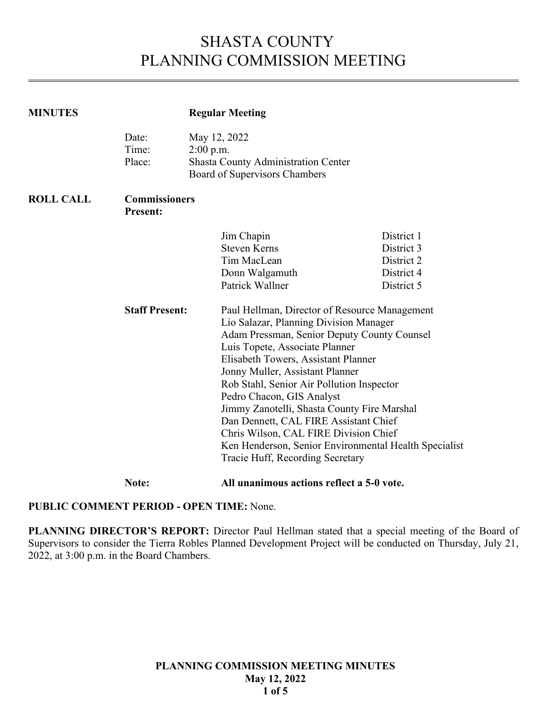# SHASTA COUNTY PLANNING COMMISSION MEETING

| <b>MINUTES</b>   |                                         | <b>Regular Meeting</b>                                                                                                                                                                                                                                                                                                                                                                                                                                                                                                                                                                                                                              |                                                                    |  |
|------------------|-----------------------------------------|-----------------------------------------------------------------------------------------------------------------------------------------------------------------------------------------------------------------------------------------------------------------------------------------------------------------------------------------------------------------------------------------------------------------------------------------------------------------------------------------------------------------------------------------------------------------------------------------------------------------------------------------------------|--------------------------------------------------------------------|--|
|                  | Date:<br>Time:<br>Place:                | May 12, 2022<br>$2:00$ p.m.<br><b>Shasta County Administration Center</b><br>Board of Supervisors Chambers                                                                                                                                                                                                                                                                                                                                                                                                                                                                                                                                          |                                                                    |  |
| <b>ROLL CALL</b> | <b>Commissioners</b><br><b>Present:</b> |                                                                                                                                                                                                                                                                                                                                                                                                                                                                                                                                                                                                                                                     |                                                                    |  |
|                  | <b>Staff Present:</b>                   | Jim Chapin<br><b>Steven Kerns</b><br>Tim MacLean<br>Donn Walgamuth<br>Patrick Wallner<br>Paul Hellman, Director of Resource Management<br>Lio Salazar, Planning Division Manager<br>Adam Pressman, Senior Deputy County Counsel<br>Luis Topete, Associate Planner<br>Elisabeth Towers, Assistant Planner<br>Jonny Muller, Assistant Planner<br>Rob Stahl, Senior Air Pollution Inspector<br>Pedro Chacon, GIS Analyst<br>Jimmy Zanotelli, Shasta County Fire Marshal<br>Dan Dennett, CAL FIRE Assistant Chief<br>Chris Wilson, CAL FIRE Division Chief<br>Ken Henderson, Senior Environmental Health Specialist<br>Tracie Huff, Recording Secretary | District 1<br>District 3<br>District 2<br>District 4<br>District 5 |  |

**Note: All unanimous actions reflect a 5-0 vote.** 

# **PUBLIC COMMENT PERIOD - OPEN TIME:** None.

PLANNING DIRECTOR'S REPORT: Director Paul Hellman stated that a special meeting of the Board of Supervisors to consider the Tierra Robles Planned Development Project will be conducted on Thursday, July 21, 2022, at 3:00 p.m. in the Board Chambers.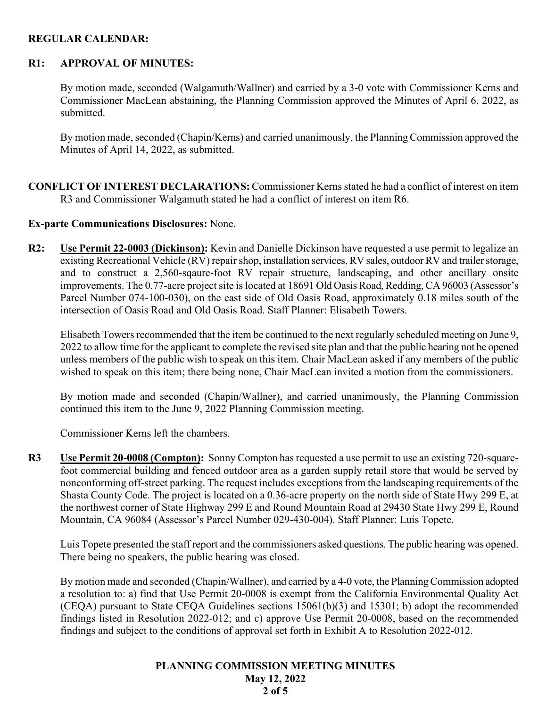## **REGULAR CALENDAR:**

## **R1: APPROVAL OF MINUTES:**

By motion made, seconded (Walgamuth/Wallner) and carried by a 3-0 vote with Commissioner Kerns and Commissioner MacLean abstaining, the Planning Commission approved the Minutes of April 6, 2022, as submitted.

By motion made, seconded (Chapin/Kerns) and carried unanimously, the Planning Commission approved the Minutes of April 14, 2022, as submitted.

**CONFLICT OF INTEREST DECLARATIONS:** Commissioner Kerns stated he had a conflict of interest on item R3 and Commissioner Walgamuth stated he had a conflict of interest on item R6.

## **Ex-parte Communications Disclosures:** None.

**R2: Use Permit 22-0003 (Dickinson):** Kevin and Danielle Dickinson have requested a use permit to legalize an existing Recreational Vehicle (RV) repair shop, installation services, RV sales, outdoor RV and trailer storage, and to construct a 2,560-sqaure-foot RV repair structure, landscaping, and other ancillary onsite improvements. The 0.77-acre project site is located at 18691 Old Oasis Road, Redding, CA 96003 (Assessor's Parcel Number 074-100-030), on the east side of Old Oasis Road, approximately 0.18 miles south of the intersection of Oasis Road and Old Oasis Road. Staff Planner: Elisabeth Towers.

Elisabeth Towers recommended that the item be continued to the next regularly scheduled meeting on June 9, 2022 to allow time for the applicant to complete the revised site plan and that the public hearing not be opened unless members of the public wish to speak on this item. Chair MacLean asked if any members of the public wished to speak on this item; there being none, Chair MacLean invited a motion from the commissioners.

By motion made and seconded (Chapin/Wallner), and carried unanimously, the Planning Commission continued this item to the June 9, 2022 Planning Commission meeting.

Commissioner Kerns left the chambers.

**R3 Use Permit 20-0008 (Compton):** Sonny Compton has requested a use permit to use an existing 720-squarefoot commercial building and fenced outdoor area as a garden supply retail store that would be served by nonconforming off-street parking. The request includes exceptions from the landscaping requirements of the Shasta County Code. The project is located on a 0.36-acre property on the north side of State Hwy 299 E, at the northwest corner of State Highway 299 E and Round Mountain Road at 29430 State Hwy 299 E, Round Mountain, CA 96084 (Assessor's Parcel Number 029-430-004). Staff Planner: Luis Topete.

Luis Topete presented the staff report and the commissioners asked questions. The public hearing was opened. There being no speakers, the public hearing was closed.

By motion made and seconded (Chapin/Wallner), and carried by a 4-0 vote, the Planning Commission adopted a resolution to: a) find that Use Permit 20-0008 is exempt from the California Environmental Quality Act (CEQA) pursuant to State CEQA Guidelines sections 15061(b)(3) and 15301; b) adopt the recommended findings listed in Resolution 2022-012; and c) approve Use Permit 20-0008, based on the recommended findings and subject to the conditions of approval set forth in Exhibit A to Resolution 2022-012.

#### **PLANNING COMMISSION MEETING MINUTES May 12, 2022 2 of 5**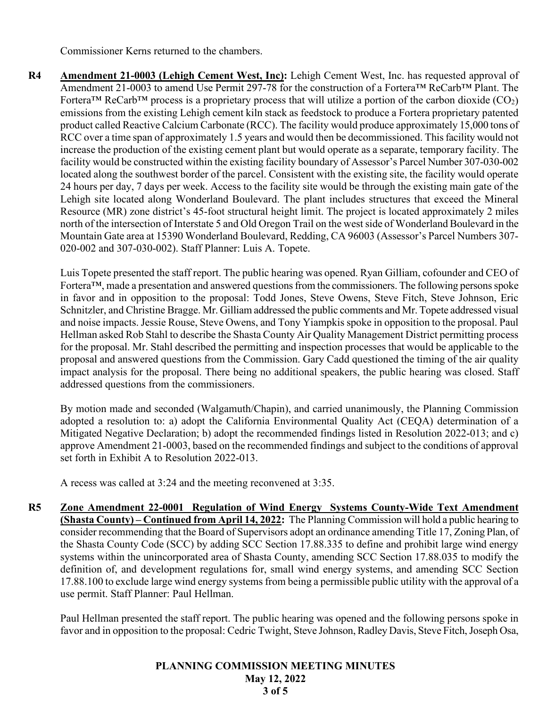Commissioner Kerns returned to the chambers.

**R4 Amendment 21-0003 (Lehigh Cement West, Inc):** Lehigh Cement West, Inc. has requested approval of Amendment 21-0003 to amend Use Permit 297-78 for the construction of a Fortera™ ReCarb™ Plant. The Fortera<sup>TM</sup> ReCarb<sup>TM</sup> process is a proprietary process that will utilize a portion of the carbon dioxide (CO<sub>2</sub>) emissions from the existing Lehigh cement kiln stack as feedstock to produce a Fortera proprietary patented product called Reactive Calcium Carbonate (RCC). The facility would produce approximately 15,000 tons of RCC over a time span of approximately 1.5 years and would then be decommissioned. This facility would not increase the production of the existing cement plant but would operate as a separate, temporary facility. The facility would be constructed within the existing facility boundary of Assessor's Parcel Number 307-030-002 located along the southwest border of the parcel. Consistent with the existing site, the facility would operate 24 hours per day, 7 days per week. Access to the facility site would be through the existing main gate of the Lehigh site located along Wonderland Boulevard. The plant includes structures that exceed the Mineral Resource (MR) zone district's 45-foot structural height limit. The project is located approximately 2 miles north of the intersection of Interstate 5 and Old Oregon Trail on the west side of Wonderland Boulevard in the Mountain Gate area at 15390 Wonderland Boulevard, Redding, CA 96003 (Assessor's Parcel Numbers 307- 020-002 and 307-030-002). Staff Planner: Luis A. Topete.

Luis Topete presented the staff report. The public hearing was opened. Ryan Gilliam, cofounder and CEO of Fortera<sup>™</sup>, made a presentation and answered questions from the commissioners. The following persons spoke in favor and in opposition to the proposal: Todd Jones, Steve Owens, Steve Fitch, Steve Johnson, Eric Schnitzler, and Christine Bragge. Mr. Gilliam addressed the public comments and Mr. Topete addressed visual and noise impacts. Jessie Rouse, Steve Owens, and Tony Yiampkis spoke in opposition to the proposal. Paul Hellman asked Rob Stahl to describe the Shasta County Air Quality Management District permitting process for the proposal. Mr. Stahl described the permitting and inspection processes that would be applicable to the proposal and answered questions from the Commission. Gary Cadd questioned the timing of the air quality impact analysis for the proposal. There being no additional speakers, the public hearing was closed. Staff addressed questions from the commissioners.

By motion made and seconded (Walgamuth/Chapin), and carried unanimously, the Planning Commission adopted a resolution to: a) adopt the California Environmental Quality Act (CEQA) determination of a Mitigated Negative Declaration; b) adopt the recommended findings listed in Resolution 2022-013; and c) approve Amendment 21-0003, based on the recommended findings and subject to the conditions of approval set forth in Exhibit A to Resolution 2022-013.

A recess was called at 3:24 and the meeting reconvened at 3:35.

**R5 Zone Amendment 22-0001 Regulation of Wind Energy Systems County-Wide Text Amendment (Shasta County) – Continued from April 14, 2022:** The Planning Commission will hold a public hearing to consider recommending that the Board of Supervisors adopt an ordinance amending Title 17, Zoning Plan, of the Shasta County Code (SCC) by adding SCC Section 17.88.335 to define and prohibit large wind energy systems within the unincorporated area of Shasta County, amending SCC Section 17.88.035 to modify the definition of, and development regulations for, small wind energy systems, and amending SCC Section 17.88.100 to exclude large wind energy systems from being a permissible public utility with the approval of a use permit. Staff Planner: Paul Hellman.

Paul Hellman presented the staff report. The public hearing was opened and the following persons spoke in favor and in opposition to the proposal: Cedric Twight, Steve Johnson, Radley Davis, Steve Fitch, Joseph Osa,

#### **PLANNING COMMISSION MEETING MINUTES May 12, 2022 3 of 5**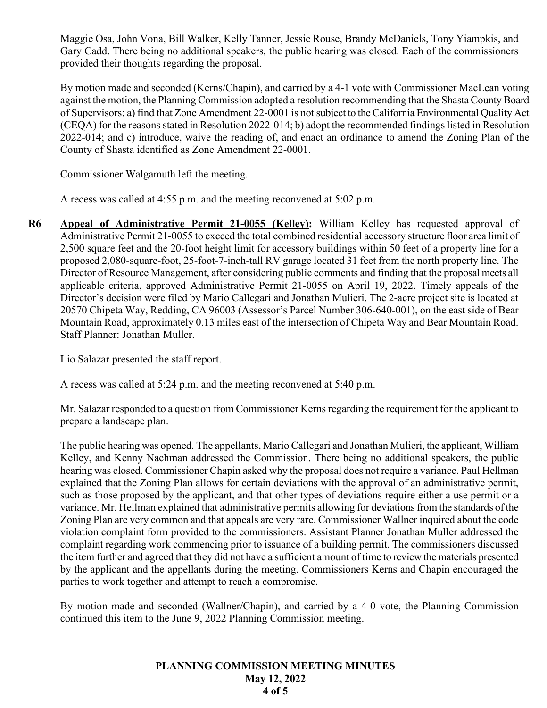Maggie Osa, John Vona, Bill Walker, Kelly Tanner, Jessie Rouse, Brandy McDaniels, Tony Yiampkis, and Gary Cadd. There being no additional speakers, the public hearing was closed. Each of the commissioners provided their thoughts regarding the proposal.

 By motion made and seconded (Kerns/Chapin), and carried by a 4-1 vote with Commissioner MacLean voting against the motion, the Planning Commission adopted a resolution recommending that the Shasta County Board of Supervisors: a) find that Zone Amendment 22-0001 is not subject to the California Environmental Quality Act (CEQA) for the reasons stated in Resolution 2022-014; b) adopt the recommended findings listed in Resolution 2022-014; and c) introduce, waive the reading of, and enact an ordinance to amend the Zoning Plan of the County of Shasta identified as Zone Amendment 22-0001.

Commissioner Walgamuth left the meeting.

A recess was called at 4:55 p.m. and the meeting reconvened at 5:02 p.m.

**R6 Appeal of Administrative Permit 21-0055 (Kelley):** William Kelley has requested approval of Administrative Permit 21-0055 to exceed the total combined residential accessory structure floor area limit of 2,500 square feet and the 20-foot height limit for accessory buildings within 50 feet of a property line for a proposed 2,080-square-foot, 25-foot-7-inch-tall RV garage located 31 feet from the north property line. The Director of Resource Management, after considering public comments and finding that the proposal meets all applicable criteria, approved Administrative Permit 21-0055 on April 19, 2022. Timely appeals of the Director's decision were filed by Mario Callegari and Jonathan Mulieri. The 2-acre project site is located at 20570 Chipeta Way, Redding, CA 96003 (Assessor's Parcel Number 306-640-001), on the east side of Bear Mountain Road, approximately 0.13 miles east of the intersection of Chipeta Way and Bear Mountain Road. Staff Planner: Jonathan Muller.

Lio Salazar presented the staff report.

A recess was called at 5:24 p.m. and the meeting reconvened at 5:40 p.m.

Mr. Salazar responded to a question from Commissioner Kerns regarding the requirement for the applicant to prepare a landscape plan.

The public hearing was opened. The appellants, Mario Callegari and Jonathan Mulieri, the applicant, William Kelley, and Kenny Nachman addressed the Commission. There being no additional speakers, the public hearing was closed. Commissioner Chapin asked why the proposal does not require a variance. Paul Hellman explained that the Zoning Plan allows for certain deviations with the approval of an administrative permit, such as those proposed by the applicant, and that other types of deviations require either a use permit or a variance. Mr. Hellman explained that administrative permits allowing for deviations from the standards of the Zoning Plan are very common and that appeals are very rare. Commissioner Wallner inquired about the code violation complaint form provided to the commissioners. Assistant Planner Jonathan Muller addressed the complaint regarding work commencing prior to issuance of a building permit. The commissioners discussed the item further and agreed that they did not have a sufficient amount of time to review the materials presented by the applicant and the appellants during the meeting. Commissioners Kerns and Chapin encouraged the parties to work together and attempt to reach a compromise.

By motion made and seconded (Wallner/Chapin), and carried by a 4-0 vote, the Planning Commission continued this item to the June 9, 2022 Planning Commission meeting.

## **PLANNING COMMISSION MEETING MINUTES May 12, 2022 4 of 5**